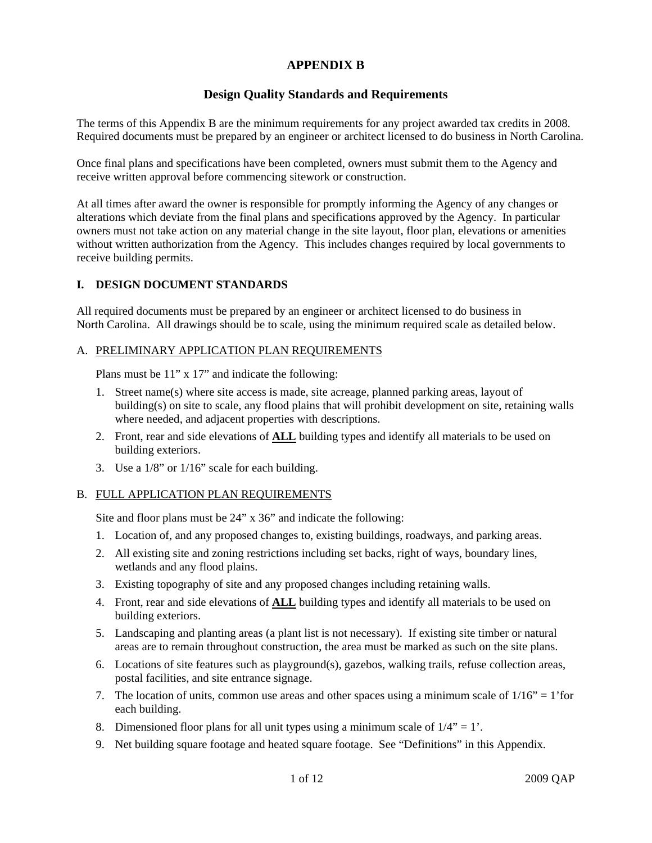# **APPENDIX B**

# **Design Quality Standards and Requirements**

The terms of this Appendix B are the minimum requirements for any project awarded tax credits in 2008. Required documents must be prepared by an engineer or architect licensed to do business in North Carolina.

Once final plans and specifications have been completed, owners must submit them to the Agency and receive written approval before commencing sitework or construction.

At all times after award the owner is responsible for promptly informing the Agency of any changes or alterations which deviate from the final plans and specifications approved by the Agency. In particular owners must not take action on any material change in the site layout, floor plan, elevations or amenities without written authorization from the Agency. This includes changes required by local governments to receive building permits.

### **I. DESIGN DOCUMENT STANDARDS**

All required documents must be prepared by an engineer or architect licensed to do business in North Carolina. All drawings should be to scale, using the minimum required scale as detailed below.

### A. PRELIMINARY APPLICATION PLAN REQUIREMENTS

Plans must be 11" x 17" and indicate the following:

- 1. Street name(s) where site access is made, site acreage, planned parking areas, layout of building(s) on site to scale, any flood plains that will prohibit development on site, retaining walls where needed, and adjacent properties with descriptions.
- 2. Front, rear and side elevations of **ALL** building types and identify all materials to be used on building exteriors.
- 3. Use a 1/8" or 1/16" scale for each building.

### B. FULL APPLICATION PLAN REQUIREMENTS

Site and floor plans must be 24" x 36" and indicate the following:

- 1. Location of, and any proposed changes to, existing buildings, roadways, and parking areas.
- 2. All existing site and zoning restrictions including set backs, right of ways, boundary lines, wetlands and any flood plains.
- 3. Existing topography of site and any proposed changes including retaining walls.
- 4. Front, rear and side elevations of **ALL** building types and identify all materials to be used on building exteriors.
- 5. Landscaping and planting areas (a plant list is not necessary). If existing site timber or natural areas are to remain throughout construction, the area must be marked as such on the site plans.
- 6. Locations of site features such as playground(s), gazebos, walking trails, refuse collection areas, postal facilities, and site entrance signage.
- 7. The location of units, common use areas and other spaces using a minimum scale of  $1/16" = 1'$  for each building.
- 8. Dimensioned floor plans for all unit types using a minimum scale of  $1/4$ " = 1'.
- 9. Net building square footage and heated square footage. See "Definitions" in this Appendix.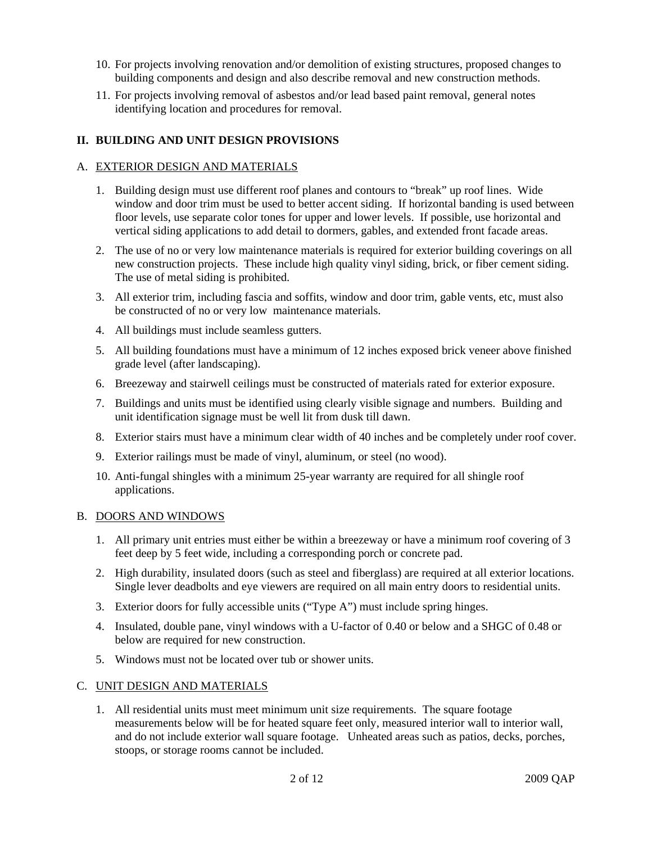- 10. For projects involving renovation and/or demolition of existing structures, proposed changes to building components and design and also describe removal and new construction methods.
- 11. For projects involving removal of asbestos and/or lead based paint removal, general notes identifying location and procedures for removal.

# **II. BUILDING AND UNIT DESIGN PROVISIONS**

#### A. EXTERIOR DESIGN AND MATERIALS

- 1. Building design must use different roof planes and contours to "break" up roof lines. Wide window and door trim must be used to better accent siding. If horizontal banding is used between floor levels, use separate color tones for upper and lower levels. If possible, use horizontal and vertical siding applications to add detail to dormers, gables, and extended front facade areas.
- 2. The use of no or very low maintenance materials is required for exterior building coverings on all new construction projects. These include high quality vinyl siding, brick, or fiber cement siding. The use of metal siding is prohibited.
- 3. All exterior trim, including fascia and soffits, window and door trim, gable vents, etc, must also be constructed of no or very low maintenance materials.
- 4. All buildings must include seamless gutters.
- 5. All building foundations must have a minimum of 12 inches exposed brick veneer above finished grade level (after landscaping).
- 6. Breezeway and stairwell ceilings must be constructed of materials rated for exterior exposure.
- 7. Buildings and units must be identified using clearly visible signage and numbers. Building and unit identification signage must be well lit from dusk till dawn.
- 8. Exterior stairs must have a minimum clear width of 40 inches and be completely under roof cover.
- 9. Exterior railings must be made of vinyl, aluminum, or steel (no wood).
- 10. Anti-fungal shingles with a minimum 25-year warranty are required for all shingle roof applications.

#### B. DOORS AND WINDOWS

- 1. All primary unit entries must either be within a breezeway or have a minimum roof covering of 3 feet deep by 5 feet wide, including a corresponding porch or concrete pad.
- 2. High durability, insulated doors (such as steel and fiberglass) are required at all exterior locations. Single lever deadbolts and eye viewers are required on all main entry doors to residential units.
- 3. Exterior doors for fully accessible units ("Type A") must include spring hinges.
- 4. Insulated, double pane, vinyl windows with a U-factor of 0.40 or below and a SHGC of 0.48 or below are required for new construction.
- 5. Windows must not be located over tub or shower units.

#### C. UNIT DESIGN AND MATERIALS

1. All residential units must meet minimum unit size requirements. The square footage measurements below will be for heated square feet only, measured interior wall to interior wall, and do not include exterior wall square footage. Unheated areas such as patios, decks, porches, stoops, or storage rooms cannot be included.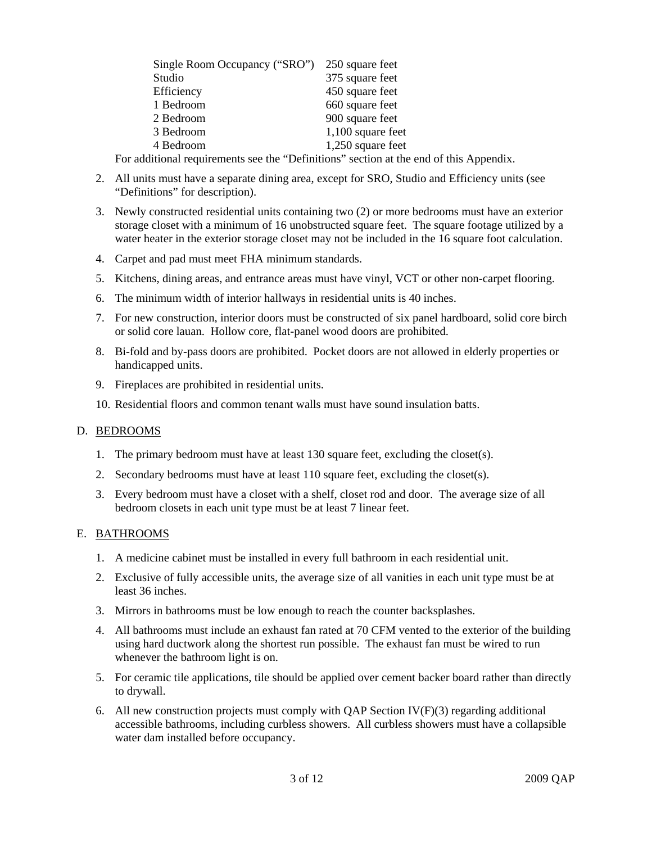| Single Room Occupancy ("SRO") | 250 square feet   |
|-------------------------------|-------------------|
| Studio                        | 375 square feet   |
| Efficiency                    | 450 square feet   |
| 1 Bedroom                     | 660 square feet   |
| 2 Bedroom                     | 900 square feet   |
| 3 Bedroom                     | 1,100 square feet |
| 4 Bedroom                     | 1,250 square feet |

For additional requirements see the "Definitions" section at the end of this Appendix.

- 2. All units must have a separate dining area, except for SRO, Studio and Efficiency units (see "Definitions" for description).
- 3. Newly constructed residential units containing two (2) or more bedrooms must have an exterior storage closet with a minimum of 16 unobstructed square feet. The square footage utilized by a water heater in the exterior storage closet may not be included in the 16 square foot calculation.
- 4. Carpet and pad must meet FHA minimum standards.
- 5. Kitchens, dining areas, and entrance areas must have vinyl, VCT or other non-carpet flooring.
- 6. The minimum width of interior hallways in residential units is 40 inches.
- 7. For new construction, interior doors must be constructed of six panel hardboard, solid core birch or solid core lauan. Hollow core, flat-panel wood doors are prohibited.
- 8. Bi-fold and by-pass doors are prohibited. Pocket doors are not allowed in elderly properties or handicapped units.
- 9. Fireplaces are prohibited in residential units.
- 10. Residential floors and common tenant walls must have sound insulation batts.

### D. BEDROOMS

- 1. The primary bedroom must have at least 130 square feet, excluding the closet(s).
- 2. Secondary bedrooms must have at least 110 square feet, excluding the closet(s).
- 3. Every bedroom must have a closet with a shelf, closet rod and door. The average size of all bedroom closets in each unit type must be at least 7 linear feet.

#### E. BATHROOMS

- 1. A medicine cabinet must be installed in every full bathroom in each residential unit.
- 2. Exclusive of fully accessible units, the average size of all vanities in each unit type must be at least 36 inches.
- 3. Mirrors in bathrooms must be low enough to reach the counter backsplashes.
- 4. All bathrooms must include an exhaust fan rated at 70 CFM vented to the exterior of the building using hard ductwork along the shortest run possible. The exhaust fan must be wired to run whenever the bathroom light is on.
- 5. For ceramic tile applications, tile should be applied over cement backer board rather than directly to drywall.
- 6. All new construction projects must comply with QAP Section  $IV(F)(3)$  regarding additional accessible bathrooms, including curbless showers. All curbless showers must have a collapsible water dam installed before occupancy.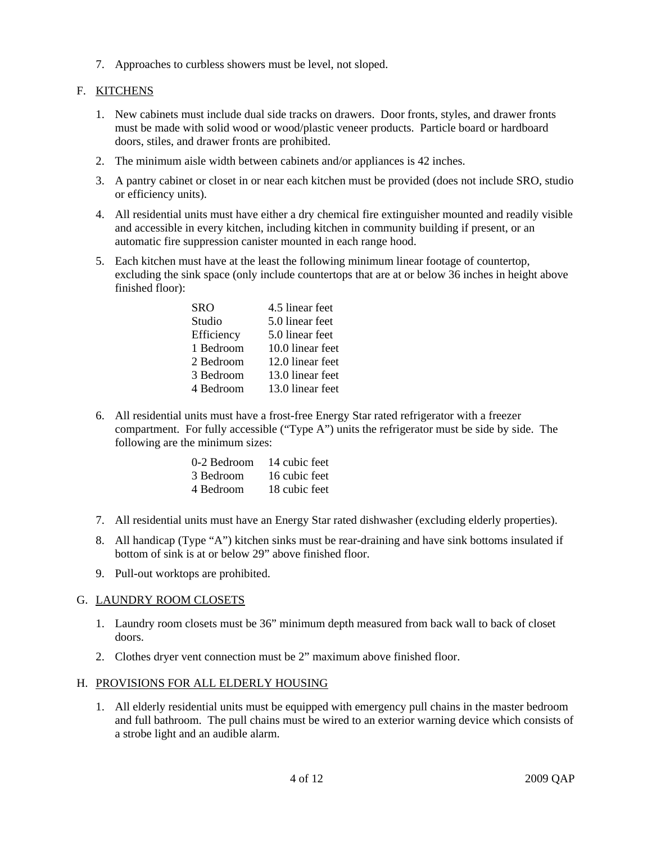7. Approaches to curbless showers must be level, not sloped.

# F. KITCHENS

- 1. New cabinets must include dual side tracks on drawers. Door fronts, styles, and drawer fronts must be made with solid wood or wood/plastic veneer products. Particle board or hardboard doors, stiles, and drawer fronts are prohibited.
- 2. The minimum aisle width between cabinets and/or appliances is 42 inches.
- 3. A pantry cabinet or closet in or near each kitchen must be provided (does not include SRO, studio or efficiency units).
- 4. All residential units must have either a dry chemical fire extinguisher mounted and readily visible and accessible in every kitchen, including kitchen in community building if present, or an automatic fire suppression canister mounted in each range hood.
- 5. Each kitchen must have at the least the following minimum linear footage of countertop, excluding the sink space (only include countertops that are at or below 36 inches in height above finished floor):

| SRO        | 4.5 linear feet  |
|------------|------------------|
| Studio     | 5.0 linear feet  |
| Efficiency | 5.0 linear feet  |
| 1 Bedroom  | 10.0 linear feet |
| 2 Bedroom  | 12.0 linear feet |
| 3 Bedroom  | 13.0 linear feet |
| 4 Bedroom  | 13.0 linear feet |
|            |                  |

6. All residential units must have a frost-free Energy Star rated refrigerator with a freezer compartment. For fully accessible ("Type A") units the refrigerator must be side by side. The following are the minimum sizes:

| 0-2 Bedroom | 14 cubic feet |
|-------------|---------------|
| 3 Bedroom   | 16 cubic feet |
| 4 Bedroom   | 18 cubic feet |

- 7. All residential units must have an Energy Star rated dishwasher (excluding elderly properties).
- 8. All handicap (Type "A") kitchen sinks must be rear-draining and have sink bottoms insulated if bottom of sink is at or below 29" above finished floor.
- 9. Pull-out worktops are prohibited.

### G. LAUNDRY ROOM CLOSETS

- 1. Laundry room closets must be 36" minimum depth measured from back wall to back of closet doors.
- 2. Clothes dryer vent connection must be 2" maximum above finished floor.

### H. PROVISIONS FOR ALL ELDERLY HOUSING

1. All elderly residential units must be equipped with emergency pull chains in the master bedroom and full bathroom. The pull chains must be wired to an exterior warning device which consists of a strobe light and an audible alarm.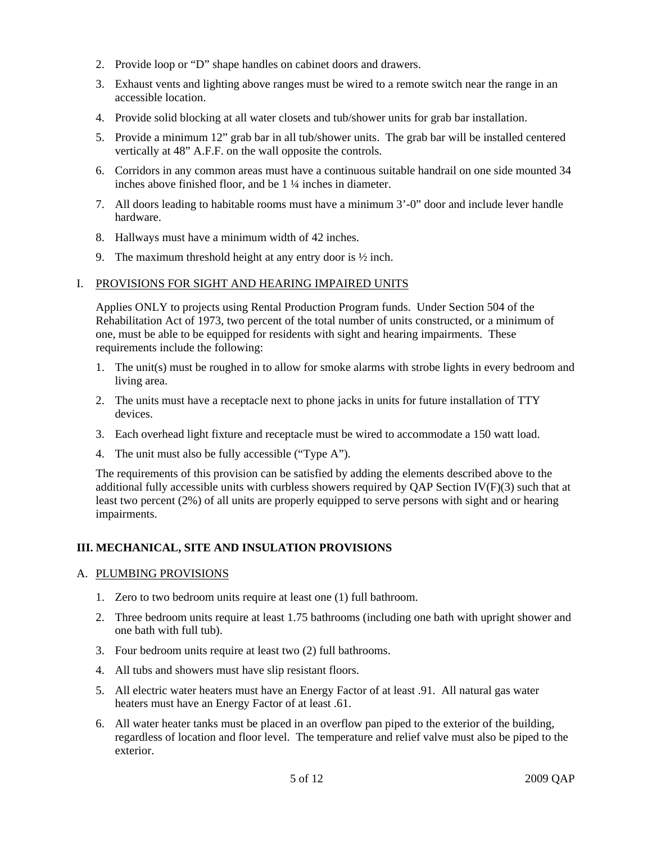- 2. Provide loop or "D" shape handles on cabinet doors and drawers.
- 3. Exhaust vents and lighting above ranges must be wired to a remote switch near the range in an accessible location.
- 4. Provide solid blocking at all water closets and tub/shower units for grab bar installation.
- 5. Provide a minimum 12" grab bar in all tub/shower units. The grab bar will be installed centered vertically at 48" A.F.F. on the wall opposite the controls.
- 6. Corridors in any common areas must have a continuous suitable handrail on one side mounted 34 inches above finished floor, and be 1 ¼ inches in diameter.
- 7. All doors leading to habitable rooms must have a minimum 3'-0" door and include lever handle hardware.
- 8. Hallways must have a minimum width of 42 inches.
- 9. The maximum threshold height at any entry door is  $\frac{1}{2}$  inch.

### I. PROVISIONS FOR SIGHT AND HEARING IMPAIRED UNITS

Applies ONLY to projects using Rental Production Program funds. Under Section 504 of the Rehabilitation Act of 1973, two percent of the total number of units constructed, or a minimum of one, must be able to be equipped for residents with sight and hearing impairments. These requirements include the following:

- 1. The unit(s) must be roughed in to allow for smoke alarms with strobe lights in every bedroom and living area.
- 2. The units must have a receptacle next to phone jacks in units for future installation of TTY devices.
- 3. Each overhead light fixture and receptacle must be wired to accommodate a 150 watt load.
- 4. The unit must also be fully accessible ("Type A").

The requirements of this provision can be satisfied by adding the elements described above to the additional fully accessible units with curbless showers required by  $OAP$  Section IV(F)(3) such that at least two percent (2%) of all units are properly equipped to serve persons with sight and or hearing impairments.

# **III. MECHANICAL, SITE AND INSULATION PROVISIONS**

### A. PLUMBING PROVISIONS

- 1. Zero to two bedroom units require at least one (1) full bathroom.
- 2. Three bedroom units require at least 1.75 bathrooms (including one bath with upright shower and one bath with full tub).
- 3. Four bedroom units require at least two (2) full bathrooms.
- 4. All tubs and showers must have slip resistant floors.
- 5. All electric water heaters must have an Energy Factor of at least .91. All natural gas water heaters must have an Energy Factor of at least .61.
- 6. All water heater tanks must be placed in an overflow pan piped to the exterior of the building, regardless of location and floor level. The temperature and relief valve must also be piped to the exterior.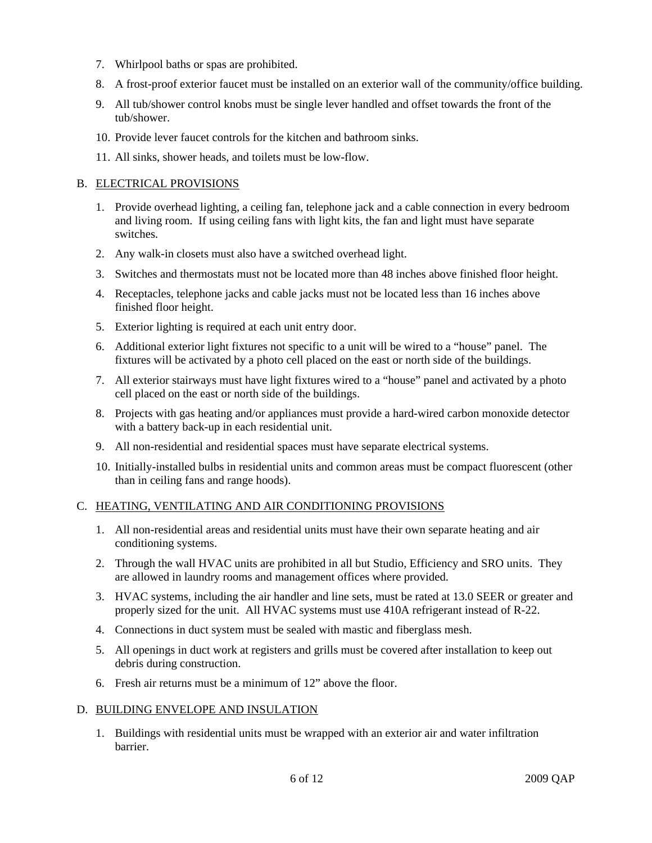- 7. Whirlpool baths or spas are prohibited.
- 8. A frost-proof exterior faucet must be installed on an exterior wall of the community/office building.
- 9. All tub/shower control knobs must be single lever handled and offset towards the front of the tub/shower.
- 10. Provide lever faucet controls for the kitchen and bathroom sinks.
- 11. All sinks, shower heads, and toilets must be low-flow.

# B. ELECTRICAL PROVISIONS

- 1. Provide overhead lighting, a ceiling fan, telephone jack and a cable connection in every bedroom and living room. If using ceiling fans with light kits, the fan and light must have separate switches.
- 2. Any walk-in closets must also have a switched overhead light.
- 3. Switches and thermostats must not be located more than 48 inches above finished floor height.
- 4. Receptacles, telephone jacks and cable jacks must not be located less than 16 inches above finished floor height.
- 5. Exterior lighting is required at each unit entry door.
- 6. Additional exterior light fixtures not specific to a unit will be wired to a "house" panel. The fixtures will be activated by a photo cell placed on the east or north side of the buildings.
- 7. All exterior stairways must have light fixtures wired to a "house" panel and activated by a photo cell placed on the east or north side of the buildings.
- 8. Projects with gas heating and/or appliances must provide a hard-wired carbon monoxide detector with a battery back-up in each residential unit.
- 9. All non-residential and residential spaces must have separate electrical systems.
- 10. Initially-installed bulbs in residential units and common areas must be compact fluorescent (other than in ceiling fans and range hoods).

# C. HEATING, VENTILATING AND AIR CONDITIONING PROVISIONS

- 1. All non-residential areas and residential units must have their own separate heating and air conditioning systems.
- 2. Through the wall HVAC units are prohibited in all but Studio, Efficiency and SRO units. They are allowed in laundry rooms and management offices where provided.
- 3. HVAC systems, including the air handler and line sets, must be rated at 13.0 SEER or greater and properly sized for the unit. All HVAC systems must use 410A refrigerant instead of R-22.
- 4. Connections in duct system must be sealed with mastic and fiberglass mesh.
- 5. All openings in duct work at registers and grills must be covered after installation to keep out debris during construction.
- 6. Fresh air returns must be a minimum of 12" above the floor.

### D. BUILDING ENVELOPE AND INSULATION

1. Buildings with residential units must be wrapped with an exterior air and water infiltration barrier.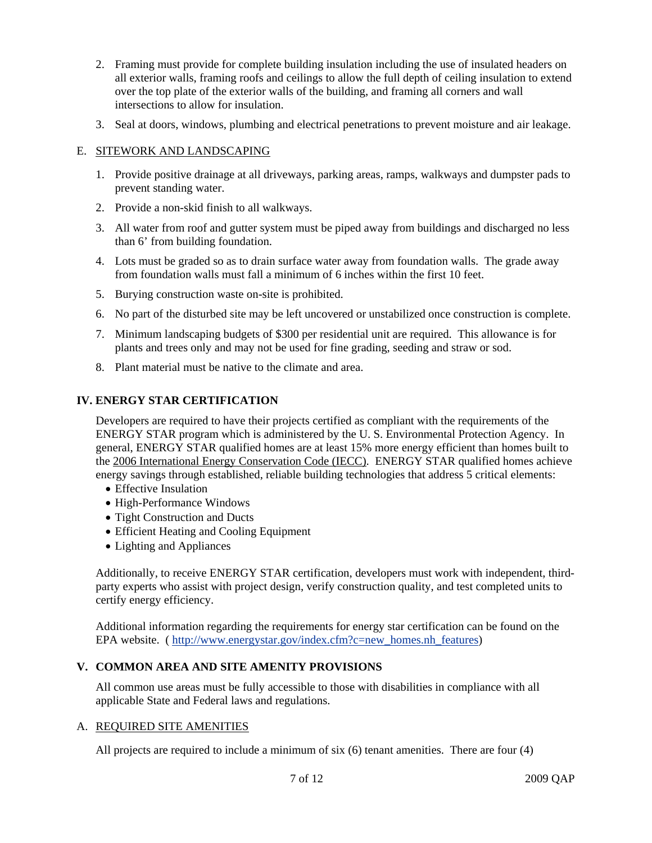- 2. Framing must provide for complete building insulation including the use of insulated headers on all exterior walls, framing roofs and ceilings to allow the full depth of ceiling insulation to extend over the top plate of the exterior walls of the building, and framing all corners and wall intersections to allow for insulation.
- 3. Seal at doors, windows, plumbing and electrical penetrations to prevent moisture and air leakage.

### E. SITEWORK AND LANDSCAPING

- 1. Provide positive drainage at all driveways, parking areas, ramps, walkways and dumpster pads to prevent standing water.
- 2. Provide a non-skid finish to all walkways.
- 3. All water from roof and gutter system must be piped away from buildings and discharged no less than 6' from building foundation.
- 4. Lots must be graded so as to drain surface water away from foundation walls. The grade away from foundation walls must fall a minimum of 6 inches within the first 10 feet.
- 5. Burying construction waste on-site is prohibited.
- 6. No part of the disturbed site may be left uncovered or unstabilized once construction is complete.
- 7. Minimum landscaping budgets of \$300 per residential unit are required. This allowance is for plants and trees only and may not be used for fine grading, seeding and straw or sod.
- 8. Plant material must be native to the climate and area.

# **IV. ENERGY STAR CERTIFICATION**

Developers are required to have their projects certified as compliant with the requirements of the ENERGY STAR program which is administered by the U. S. Environmental Protection Agency. In general, ENERGY STAR qualified homes are at least 15% more energy efficient than homes built to the 2006 International Energy Conservation Code (IECC). ENERGY STAR qualified homes achieve energy savings through established, reliable building technologies that address 5 critical elements:

- Effective Insulation
- High-Performance Windows
- Tight Construction and Ducts
- Efficient Heating and Cooling Equipment
- Lighting and Appliances

Additionally, to receive ENERGY STAR certification, developers must work with independent, thirdparty experts who assist with project design, verify construction quality, and test completed units to certify energy efficiency.

Additional information regarding the requirements for energy star certification can be found on the EPA website. ( http://www.energystar.gov/index.cfm?c=new\_homes.nh\_features)

# **V. COMMON AREA AND SITE AMENITY PROVISIONS**

All common use areas must be fully accessible to those with disabilities in compliance with all applicable State and Federal laws and regulations.

### A. REQUIRED SITE AMENITIES

All projects are required to include a minimum of six (6) tenant amenities. There are four (4)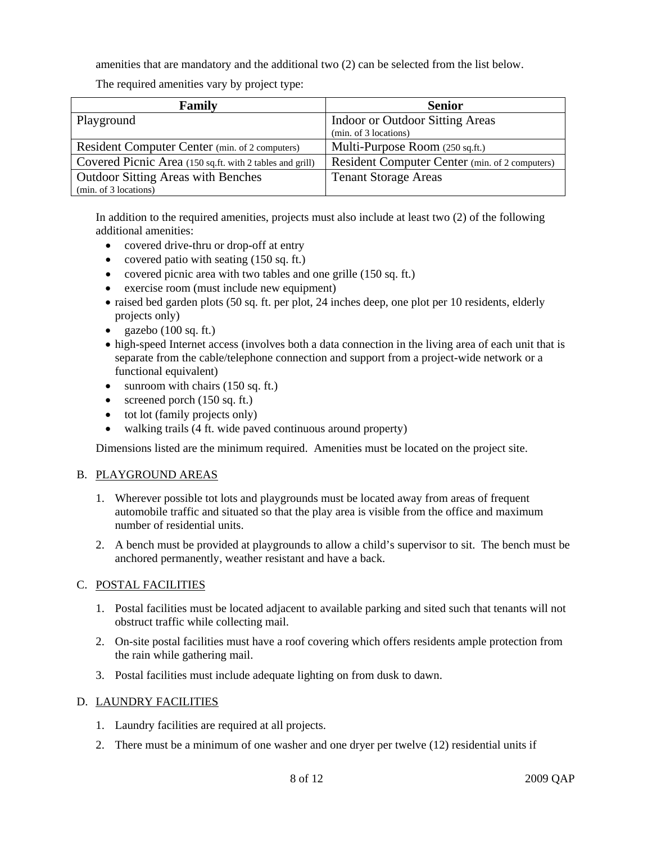amenities that are mandatory and the additional two (2) can be selected from the list below.

The required amenities vary by project type:

| Family                                                   | <b>Senior</b>                                  |
|----------------------------------------------------------|------------------------------------------------|
| Playground                                               | Indoor or Outdoor Sitting Areas                |
|                                                          | (min. of 3 locations)                          |
| Resident Computer Center (min. of 2 computers)           | Multi-Purpose Room (250 sq.ft.)                |
| Covered Picnic Area (150 sq.ft. with 2 tables and grill) | Resident Computer Center (min. of 2 computers) |
| <b>Outdoor Sitting Areas with Benches</b>                | <b>Tenant Storage Areas</b>                    |
| (min. of 3 locations)                                    |                                                |

In addition to the required amenities, projects must also include at least two (2) of the following additional amenities:

- covered drive-thru or drop-off at entry
- covered patio with seating (150 sq. ft.)
- covered picnic area with two tables and one grille (150 sq. ft.)
- exercise room (must include new equipment)
- raised bed garden plots (50 sq. ft. per plot, 24 inches deep, one plot per 10 residents, elderly projects only)
- gazebo  $(100 \text{ sq. ft.})$
- high-speed Internet access (involves both a data connection in the living area of each unit that is separate from the cable/telephone connection and support from a project-wide network or a functional equivalent)
- sunroom with chairs (150 sq. ft.)
- screened porch  $(150 \text{ sq. ft.})$
- tot lot (family projects only)
- walking trails (4 ft. wide paved continuous around property)

Dimensions listed are the minimum required. Amenities must be located on the project site.

### B. PLAYGROUND AREAS

- 1. Wherever possible tot lots and playgrounds must be located away from areas of frequent automobile traffic and situated so that the play area is visible from the office and maximum number of residential units.
- 2. A bench must be provided at playgrounds to allow a child's supervisor to sit. The bench must be anchored permanently, weather resistant and have a back.

### C. POSTAL FACILITIES

- 1. Postal facilities must be located adjacent to available parking and sited such that tenants will not obstruct traffic while collecting mail.
- 2. On-site postal facilities must have a roof covering which offers residents ample protection from the rain while gathering mail.
- 3. Postal facilities must include adequate lighting on from dusk to dawn.

# D. LAUNDRY FACILITIES

- 1. Laundry facilities are required at all projects.
- 2. There must be a minimum of one washer and one dryer per twelve (12) residential units if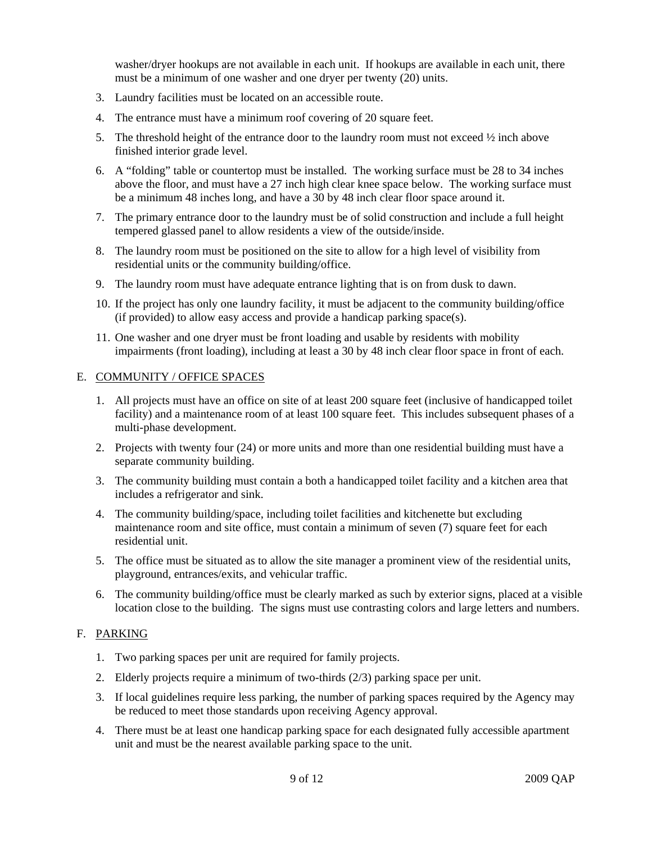washer/dryer hookups are not available in each unit. If hookups are available in each unit, there must be a minimum of one washer and one dryer per twenty (20) units.

- 3. Laundry facilities must be located on an accessible route.
- 4. The entrance must have a minimum roof covering of 20 square feet.
- 5. The threshold height of the entrance door to the laundry room must not exceed  $\frac{1}{2}$  inch above finished interior grade level.
- 6. A "folding" table or countertop must be installed. The working surface must be 28 to 34 inches above the floor, and must have a 27 inch high clear knee space below. The working surface must be a minimum 48 inches long, and have a 30 by 48 inch clear floor space around it.
- 7. The primary entrance door to the laundry must be of solid construction and include a full height tempered glassed panel to allow residents a view of the outside/inside.
- 8. The laundry room must be positioned on the site to allow for a high level of visibility from residential units or the community building/office.
- 9. The laundry room must have adequate entrance lighting that is on from dusk to dawn.
- 10. If the project has only one laundry facility, it must be adjacent to the community building/office (if provided) to allow easy access and provide a handicap parking space(s).
- 11. One washer and one dryer must be front loading and usable by residents with mobility impairments (front loading), including at least a 30 by 48 inch clear floor space in front of each.

#### E. COMMUNITY / OFFICE SPACES

- 1. All projects must have an office on site of at least 200 square feet (inclusive of handicapped toilet facility) and a maintenance room of at least 100 square feet. This includes subsequent phases of a multi-phase development.
- 2. Projects with twenty four (24) or more units and more than one residential building must have a separate community building.
- 3. The community building must contain a both a handicapped toilet facility and a kitchen area that includes a refrigerator and sink.
- 4. The community building/space, including toilet facilities and kitchenette but excluding maintenance room and site office, must contain a minimum of seven (7) square feet for each residential unit.
- 5. The office must be situated as to allow the site manager a prominent view of the residential units, playground, entrances/exits, and vehicular traffic.
- 6. The community building/office must be clearly marked as such by exterior signs, placed at a visible location close to the building. The signs must use contrasting colors and large letters and numbers.

### F. PARKING

- 1. Two parking spaces per unit are required for family projects.
- 2. Elderly projects require a minimum of two-thirds (2/3) parking space per unit.
- 3. If local guidelines require less parking, the number of parking spaces required by the Agency may be reduced to meet those standards upon receiving Agency approval.
- 4. There must be at least one handicap parking space for each designated fully accessible apartment unit and must be the nearest available parking space to the unit.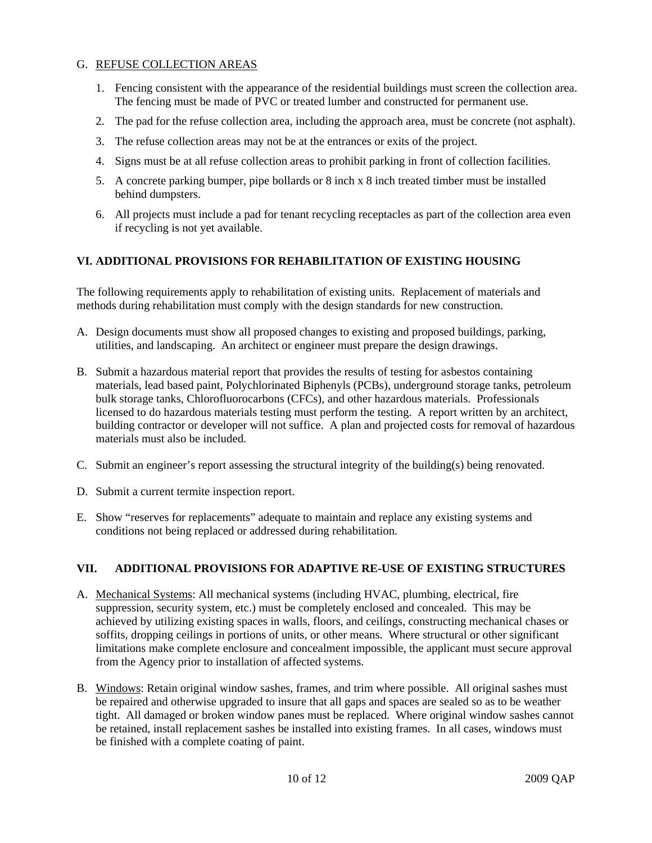# G. REFUSE COLLECTION AREAS

- 1. Fencing consistent with the appearance of the residential buildings must screen the collection area. The fencing must be made of PVC or treated lumber and constructed for permanent use.
- 2. The pad for the refuse collection area, including the approach area, must be concrete (not asphalt).
- 3. The refuse collection areas may not be at the entrances or exits of the project.
- 4. Signs must be at all refuse collection areas to prohibit parking in front of collection facilities.
- 5. A concrete parking bumper, pipe bollards or 8 inch x 8 inch treated timber must be installed behind dumpsters.
- 6. All projects must include a pad for tenant recycling receptacles as part of the collection area even if recycling is not yet available.

# **VI. ADDITIONAL PROVISIONS FOR REHABILITATION OF EXISTING HOUSING**

The following requirements apply to rehabilitation of existing units. Replacement of materials and methods during rehabilitation must comply with the design standards for new construction.

- A. Design documents must show all proposed changes to existing and proposed buildings, parking, utilities, and landscaping. An architect or engineer must prepare the design drawings.
- B. Submit a hazardous material report that provides the results of testing for asbestos containing materials, lead based paint, Polychlorinated Biphenyls (PCBs), underground storage tanks, petroleum bulk storage tanks, Chlorofluorocarbons (CFCs), and other hazardous materials. Professionals licensed to do hazardous materials testing must perform the testing. A report written by an architect, building contractor or developer will not suffice. A plan and projected costs for removal of hazardous materials must also be included.
- C. Submit an engineer's report assessing the structural integrity of the building(s) being renovated.
- D. Submit a current termite inspection report.
- E. Show "reserves for replacements" adequate to maintain and replace any existing systems and conditions not being replaced or addressed during rehabilitation.

# **VII. ADDITIONAL PROVISIONS FOR ADAPTIVE RE-USE OF EXISTING STRUCTURES**

- A. Mechanical Systems: All mechanical systems (including HVAC, plumbing, electrical, fire suppression, security system, etc.) must be completely enclosed and concealed. This may be achieved by utilizing existing spaces in walls, floors, and ceilings, constructing mechanical chases or soffits, dropping ceilings in portions of units, or other means. Where structural or other significant limitations make complete enclosure and concealment impossible, the applicant must secure approval from the Agency prior to installation of affected systems.
- B. Windows: Retain original window sashes, frames, and trim where possible. All original sashes must be repaired and otherwise upgraded to insure that all gaps and spaces are sealed so as to be weather tight. All damaged or broken window panes must be replaced. Where original window sashes cannot be retained, install replacement sashes be installed into existing frames. In all cases, windows must be finished with a complete coating of paint.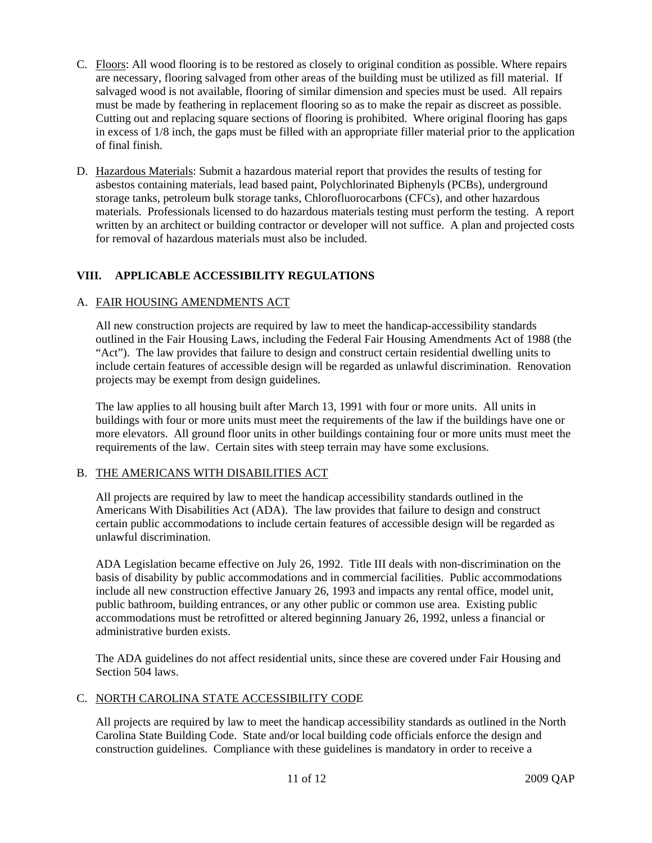- C. Floors: All wood flooring is to be restored as closely to original condition as possible. Where repairs are necessary, flooring salvaged from other areas of the building must be utilized as fill material. If salvaged wood is not available, flooring of similar dimension and species must be used. All repairs must be made by feathering in replacement flooring so as to make the repair as discreet as possible. Cutting out and replacing square sections of flooring is prohibited. Where original flooring has gaps in excess of 1/8 inch, the gaps must be filled with an appropriate filler material prior to the application of final finish.
- D. Hazardous Materials: Submit a hazardous material report that provides the results of testing for asbestos containing materials, lead based paint, Polychlorinated Biphenyls (PCBs), underground storage tanks, petroleum bulk storage tanks, Chlorofluorocarbons (CFCs), and other hazardous materials. Professionals licensed to do hazardous materials testing must perform the testing. A report written by an architect or building contractor or developer will not suffice. A plan and projected costs for removal of hazardous materials must also be included.

# **VIII. APPLICABLE ACCESSIBILITY REGULATIONS**

### A. FAIR HOUSING AMENDMENTS ACT

All new construction projects are required by law to meet the handicap-accessibility standards outlined in the Fair Housing Laws, including the Federal Fair Housing Amendments Act of 1988 (the "Act"). The law provides that failure to design and construct certain residential dwelling units to include certain features of accessible design will be regarded as unlawful discrimination. Renovation projects may be exempt from design guidelines.

The law applies to all housing built after March 13, 1991 with four or more units. All units in buildings with four or more units must meet the requirements of the law if the buildings have one or more elevators. All ground floor units in other buildings containing four or more units must meet the requirements of the law. Certain sites with steep terrain may have some exclusions.

### B. THE AMERICANS WITH DISABILITIES ACT

All projects are required by law to meet the handicap accessibility standards outlined in the Americans With Disabilities Act (ADA). The law provides that failure to design and construct certain public accommodations to include certain features of accessible design will be regarded as unlawful discrimination.

ADA Legislation became effective on July 26, 1992. Title III deals with non-discrimination on the basis of disability by public accommodations and in commercial facilities. Public accommodations include all new construction effective January 26, 1993 and impacts any rental office, model unit, public bathroom, building entrances, or any other public or common use area. Existing public accommodations must be retrofitted or altered beginning January 26, 1992, unless a financial or administrative burden exists.

The ADA guidelines do not affect residential units, since these are covered under Fair Housing and Section 504 laws.

### C. NORTH CAROLINA STATE ACCESSIBILITY CODE

All projects are required by law to meet the handicap accessibility standards as outlined in the North Carolina State Building Code. State and/or local building code officials enforce the design and construction guidelines. Compliance with these guidelines is mandatory in order to receive a